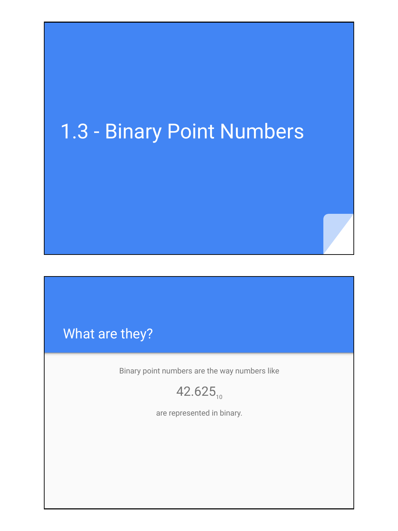# 1.3 - Binary Point Numbers

# What are they?

Binary point numbers are the way numbers like

 $42.625_{10}$ 

are represented in binary.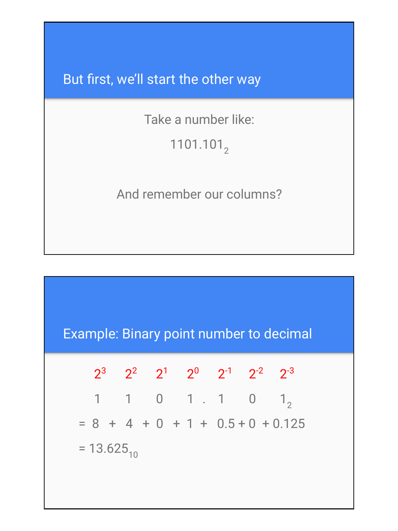But first, we'll start the other way

Take a number like:

# 1101.101<sub>2</sub>

#### And remember our columns?

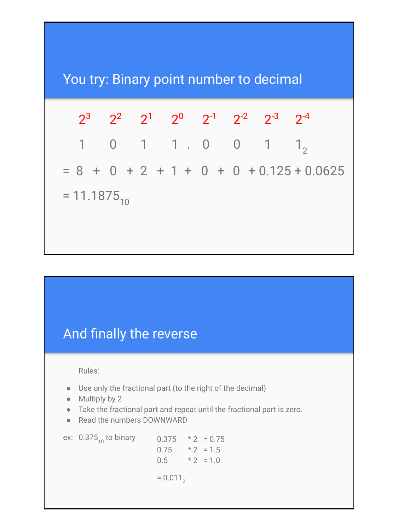

## And finally the reverse

Rules:

- Use only the fractional part (to the right of the decimal)
- Multiply by 2
- Take the fractional part and repeat until the fractional part is zero.
- Read the numbers DOWNWARD

ex:  $0.375_{10}$  to binary  $0.375$  \* 2 = 0.75  $0.75$  \* 2 = 1.5  $0.5$  \* 2 = 1.0  $= 0.011$ <sub>2</sub>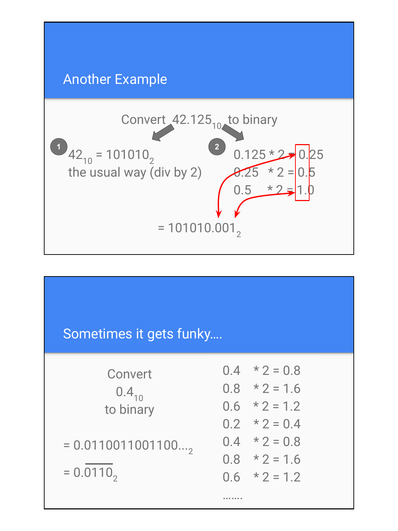